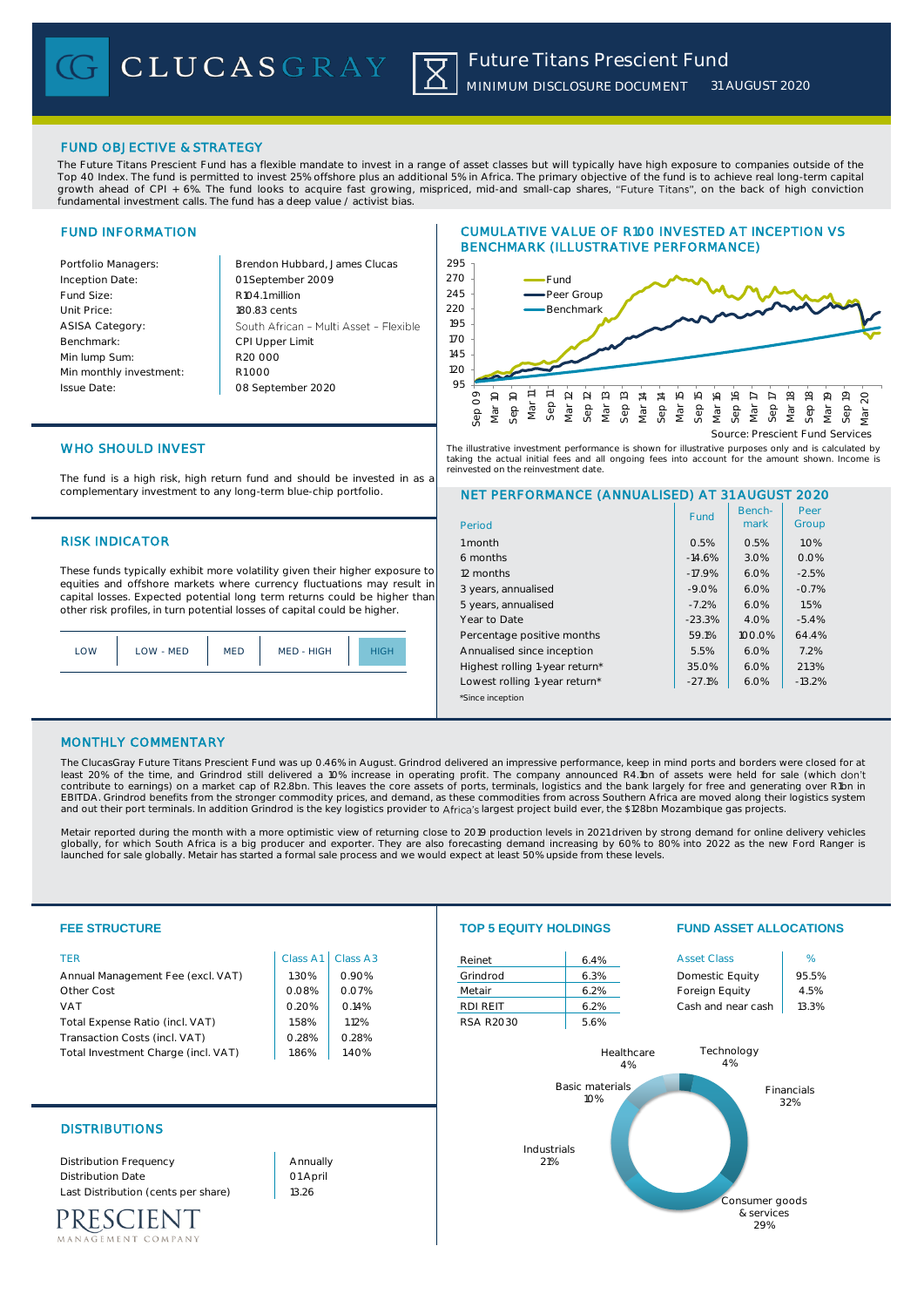## FUND OBJECTIVE & STRATEGY

The Future Titans Prescient Fund has a flexible mandate to invest in a range of asset classes but will typically have high exposure to companies outside of the Top 40 Index. The fund is permitted to invest 25% offshore plus an additional 5% in Africa. The primary objective of the fund is to achieve real long-term capital growth ahead of CPI + 6%. The fund looks to acquire fast growing, mispriced, mid-and small-cap shares, "Future Titans", on the back of high conviction fundamental investment calls. The fund has a deep value / activist bias.

## FUND INFORMATION

| Portfolio Managers:     | Brendon Hubbard, James Clucas          |
|-------------------------|----------------------------------------|
| Inception Date:         | 01 September 2009                      |
| Fund Size:              | R <sub>104.1</sub> million             |
| Unit Price:             | 180.83 cents                           |
| <b>ASISA Category:</b>  | South African - Multi Asset - Flexible |
| Benchmark:              | <b>CPI Upper Limit</b>                 |
| Min lump Sum:           | R20,000                                |
| Min monthly investment: | R1000                                  |
| <b>Issue Date:</b>      | 08 September 2020                      |
|                         |                                        |

## CUMULATIVE VALUE OF R100 INVESTED AT INCEPTION VS BENCHMARK (ILLUSTRATIVE PERFORMANCE)



The illustrative investment performance is shown for illustrative purposes only and is calculated by taking the actual initial fees and all ongoing fees into account for the amount shown. Income is<br>reinvested on the reinvestment date. refer to the reinvestment date.

# WHO SHOULD INVEST

The fund is a high risk, high return fund and should be invested in as a complementary investment to any long-term blue-chip portfolio.

### **RISK INDICATOR**

These funds typically exhibit more volatility given their higher exposure to equities and offshore markets where currency fluctuations may result in capital losses. Expected potential long term returns could be higher than other risk profiles, in turn potential losses of capital could be higher.

| LOW - MED | MED | MED - HIGH |  |
|-----------|-----|------------|--|
|-----------|-----|------------|--|

## NET PERFORMANCE (ANNUALISED) AT 31 AUGUST 2020

| Period                         | Fund     | Bench-<br>mark | Peer<br>Group |
|--------------------------------|----------|----------------|---------------|
| 1 month                        | 0.5%     | 0.5%           | 1.0%          |
| 6 months                       | $-14.6%$ | 3.0%           | 0.0%          |
| 12 months                      | $-17.9%$ | 6.0%           | $-2.5%$       |
| 3 years, annualised            | $-9.0%$  | 6.0%           | $-0.7%$       |
| 5 years, annualised            | $-7.2%$  | 6.0%           | 1.5%          |
| Year to Date                   | $-23.3%$ | 4.0%           | $-5.4%$       |
| Percentage positive months     | 59.1%    | $100.0\%$      | 64.4%         |
| Annualised since inception     | 5.5%     | 6.0%           | 7.2%          |
| Highest rolling 1-year return* | 35.0%    | 6.0%           | 21.3%         |
| Lowest rolling 1-year return*  | $-27.1%$ | 6.0%           | $-13.2%$      |
| *Since inception               |          |                |               |

### MONTHLY COMMENTARY

The ClucasGray Future Titans Prescient Fund was up 0.46% in August. Grindrod delivered an impressive performance, keep in mind ports and borders were closed for at least 20% of the time, and Grindrod still delivered a 10% increase in operating profit. The company announced R4.1bn of assets were held for sale (which don't contribute to earnings) on a market cap of R2.8bn. This leaves the core assets of ports, terminals, logistics and the bank largely for free and generating over R1bn in<br>EBITDA. Grindrod benefits from the stronger commodity and out their port terminals. In addition Grindrod is the key logistics provider to Africa's largest project build ever, the \$128bn Mozambique gas projects.

Metair reported during the month with a more optimistic view of returning close to 2019 production levels in 2021 driven by strong demand for online delivery vehicles globally, for which South Africa is a big producer and exporter. They are also forecasting demand increasing by 60% to 80% into 2022 as the new Ford Ranger is launched for sale globally. Metair has started a formal sale process and we would expect at least 50% upside from these levels.

| <b>FEE STRUCTURE</b>                                                                                                                                                                   |                                                                | <b>TOP 5 EQUITY HOLDINGS</b>                                   |                                                              | <b>FUND ASSET ALLOCATIONS</b>                           |                  |                                                                                                   |                                           |
|----------------------------------------------------------------------------------------------------------------------------------------------------------------------------------------|----------------------------------------------------------------|----------------------------------------------------------------|--------------------------------------------------------------|---------------------------------------------------------|------------------|---------------------------------------------------------------------------------------------------|-------------------------------------------|
| <b>TER</b><br>Annual Management Fee (excl. VAT)<br>Other Cost<br><b>VAT</b><br>Total Expense Ratio (incl. VAT)<br>Transaction Costs (incl. VAT)<br>Total Investment Charge (incl. VAT) | Class A1<br>1.30%<br>0.08%<br>0.20%<br>1.58%<br>0.28%<br>1.86% | Class A3<br>0.90%<br>0.07%<br>0.14%<br>1.12%<br>0.28%<br>1.40% | Reinet<br>Grindrod<br>Metair<br>RDI REIT<br><b>RSA R2030</b> | 6.4%<br>6.3%<br>6.2%<br>6.2%<br>5.6%<br>Basic materials | Healthcare<br>4% | <b>Asset Class</b><br>Domestic Equity<br>Foreign Equity<br>Cash and near cash<br>Technology<br>4% | %<br>95.5%<br>4.5%<br>13.3%<br>Financials |
| <b>DISTRIBUTIONS</b><br><b>Distribution Frequency</b><br><b>Distribution Date</b><br>Last Distribution (cents per share)<br><b>NENT</b><br>MANAGEMENT COMPANY                          | Annually<br>01 April<br>13.26                                  |                                                                |                                                              | 10%<br>Industrials<br>21%                               |                  | Consumer goods<br>& services<br>29%                                                               | 32%                                       |